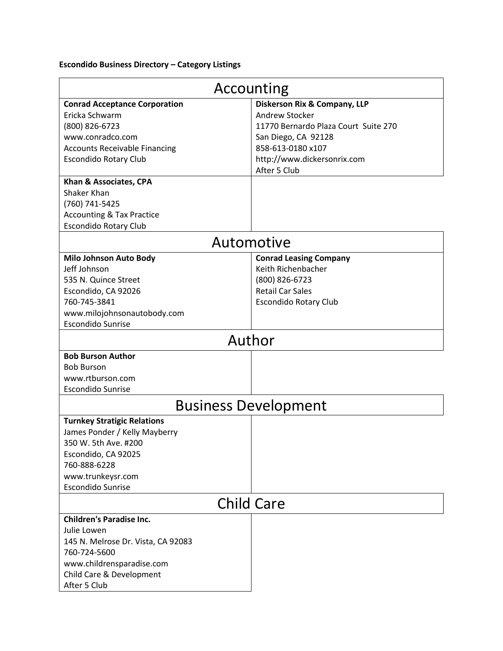## **Escondido Business Directory – Category Listings**

| Accounting                           |                                      |
|--------------------------------------|--------------------------------------|
| <b>Conrad Acceptance Corporation</b> | Diskerson Rix & Company, LLP         |
| Ericka Schwarm                       | Andrew Stocker                       |
| (800) 826-6723                       | 11770 Bernardo Plaza Court Suite 270 |
| www.conradco.com                     | San Diego, CA 92128                  |
| <b>Accounts Receivable Financing</b> | 858-613-0180 x107                    |
| <b>Escondido Rotary Club</b>         | http://www.dickersonrix.com          |
|                                      | After 5 Club                         |
| Khan & Associates, CPA               |                                      |
| Shaker Khan                          |                                      |
| (760) 741-5425                       |                                      |
| <b>Accounting &amp; Tax Practice</b> |                                      |
| <b>Escondido Rotary Club</b>         |                                      |
|                                      | Automotive                           |
| <b>Milo Johnson Auto Body</b>        | <b>Conrad Leasing Company</b>        |
| Jeff Johnson                         | Keith Richenbacher                   |
| 535 N. Quince Street                 | (800) 826-6723                       |
| Escondido, CA 92026                  | <b>Retail Car Sales</b>              |
| 760-745-3841                         | <b>Escondido Rotary Club</b>         |
| www.milojohnsonautobody.com          |                                      |
| <b>Escondido Sunrise</b>             |                                      |
| Author                               |                                      |
| <b>Bob Burson Author</b>             |                                      |
| <b>Bob Burson</b>                    |                                      |
| www.rtburson.com                     |                                      |
| <b>Escondido Sunrise</b>             |                                      |
|                                      | <b>Business Development</b>          |
| <b>Turnkey Stratigic Relations</b>   |                                      |
| James Ponder / Kelly Mayberry        |                                      |
| 350 W. 5th Ave. #200                 |                                      |
| Escondido, CA 92025                  |                                      |
| 760-888-6228                         |                                      |
| www.trunkeysr.com                    |                                      |
| <b>Escondido Sunrise</b>             |                                      |
| <b>Child Care</b>                    |                                      |
| <b>Children's Paradise Inc.</b>      |                                      |
| Julie Lowen                          |                                      |
| 145 N. Melrose Dr. Vista, CA 92083   |                                      |
| 760-724-5600                         |                                      |
| www.childrensparadise.com            |                                      |
| Child Care & Development             |                                      |
| After 5 Club                         |                                      |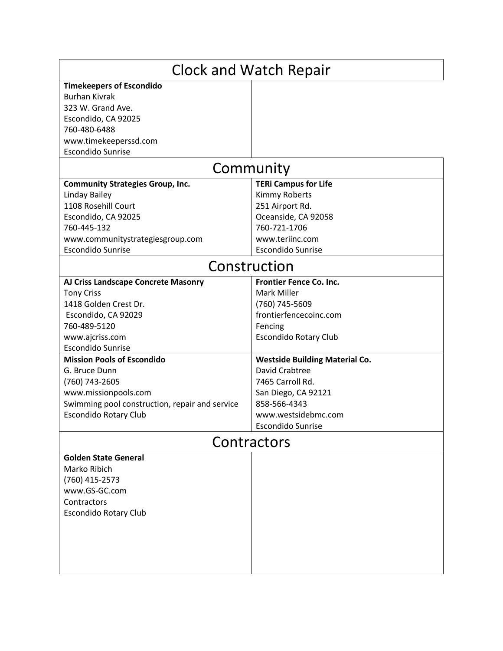| Clock and Watch Repair                         |                                       |
|------------------------------------------------|---------------------------------------|
| <b>Timekeepers of Escondido</b>                |                                       |
| <b>Burhan Kivrak</b>                           |                                       |
| 323 W. Grand Ave.                              |                                       |
| Escondido, CA 92025                            |                                       |
| 760-480-6488                                   |                                       |
| www.timekeeperssd.com                          |                                       |
| <b>Escondido Sunrise</b>                       |                                       |
| Community                                      |                                       |
| <b>Community Strategies Group, Inc.</b>        | <b>TERi Campus for Life</b>           |
| <b>Linday Bailey</b>                           | <b>Kimmy Roberts</b>                  |
| 1108 Rosehill Court                            | 251 Airport Rd.                       |
| Escondido, CA 92025                            | Oceanside, CA 92058                   |
| 760-445-132                                    | 760-721-1706                          |
| www.communitystrategiesgroup.com               | www.teriinc.com                       |
| <b>Escondido Sunrise</b>                       | <b>Escondido Sunrise</b>              |
|                                                | Construction                          |
| AJ Criss Landscape Concrete Masonry            | <b>Frontier Fence Co. Inc.</b>        |
| <b>Tony Criss</b>                              | Mark Miller                           |
| 1418 Golden Crest Dr.                          | (760) 745-5609                        |
| Escondido, CA 92029                            | frontierfencecoinc.com                |
| 760-489-5120                                   | Fencing                               |
| www.ajcriss.com                                | <b>Escondido Rotary Club</b>          |
| <b>Escondido Sunrise</b>                       |                                       |
| <b>Mission Pools of Escondido</b>              | <b>Westside Building Material Co.</b> |
| G. Bruce Dunn                                  | David Crabtree                        |
| (760) 743-2605                                 | 7465 Carroll Rd.                      |
| www.missionpools.com                           | San Diego, CA 92121                   |
| Swimming pool construction, repair and service | 858-566-4343                          |
| <b>Escondido Rotary Club</b>                   | www.westsidebmc.com                   |
|                                                | Escondido Sunrise                     |
| Contractors                                    |                                       |
| <b>Golden State General</b>                    |                                       |
| Marko Ribich                                   |                                       |
| (760) 415-2573                                 |                                       |
| www.GS-GC.com                                  |                                       |
| Contractors                                    |                                       |
| <b>Escondido Rotary Club</b>                   |                                       |
|                                                |                                       |
|                                                |                                       |
|                                                |                                       |
|                                                |                                       |
|                                                |                                       |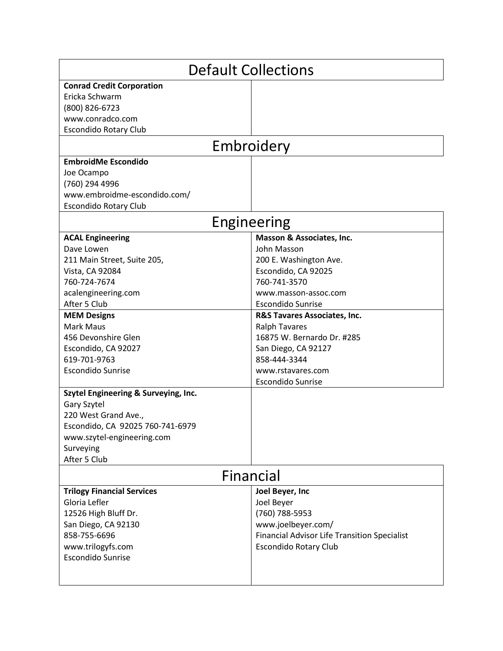| <b>Default Collections</b>           |                                                     |
|--------------------------------------|-----------------------------------------------------|
| <b>Conrad Credit Corporation</b>     |                                                     |
| Ericka Schwarm                       |                                                     |
| (800) 826-6723                       |                                                     |
| www.conradco.com                     |                                                     |
| <b>Escondido Rotary Club</b>         |                                                     |
| Embroidery                           |                                                     |
| <b>EmbroidMe Escondido</b>           |                                                     |
| Joe Ocampo                           |                                                     |
| (760) 294 4996                       |                                                     |
| www.embroidme-escondido.com/         |                                                     |
| Escondido Rotary Club                |                                                     |
|                                      | Engineering                                         |
| <b>ACAL Engineering</b>              | Masson & Associates, Inc.                           |
| Dave Lowen                           | John Masson                                         |
| 211 Main Street, Suite 205,          | 200 E. Washington Ave.                              |
| Vista, CA 92084                      | Escondido, CA 92025                                 |
| 760-724-7674                         | 760-741-3570                                        |
| acalengineering.com                  | www.masson-assoc.com                                |
| After 5 Club                         | <b>Escondido Sunrise</b>                            |
| <b>MEM Designs</b>                   | R&S Tavares Associates, Inc.                        |
| <b>Mark Maus</b>                     | <b>Ralph Tavares</b>                                |
| 456 Devonshire Glen                  | 16875 W. Bernardo Dr. #285                          |
| Escondido, CA 92027                  | San Diego, CA 92127                                 |
| 619-701-9763                         | 858-444-3344                                        |
| <b>Escondido Sunrise</b>             | www.rstavares.com                                   |
|                                      | <b>Escondido Sunrise</b>                            |
| Szytel Engineering & Surveying, Inc. |                                                     |
| Gary Szytel                          |                                                     |
| 220 West Grand Ave.,                 |                                                     |
| Escondido, CA 92025 760-741-6979     |                                                     |
| www.szytel-engineering.com           |                                                     |
| Surveying                            |                                                     |
| After 5 Club                         |                                                     |
| Financial                            |                                                     |
| <b>Trilogy Financial Services</b>    | Joel Beyer, Inc                                     |
| Gloria Lefler                        | Joel Beyer                                          |
| 12526 High Bluff Dr.                 | (760) 788-5953                                      |
| San Diego, CA 92130                  | www.joelbeyer.com/                                  |
| 858-755-6696                         | <b>Financial Advisor Life Transition Specialist</b> |
| www.trilogyfs.com                    | <b>Escondido Rotary Club</b>                        |
| <b>Escondido Sunrise</b>             |                                                     |
|                                      |                                                     |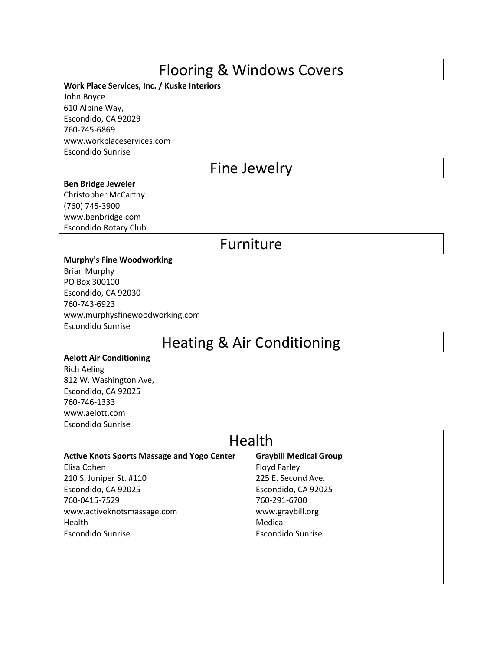|                                                    | <b>Flooring &amp; Windows Covers</b> |
|----------------------------------------------------|--------------------------------------|
| Work Place Services, Inc. / Kuske Interiors        |                                      |
| John Boyce                                         |                                      |
| 610 Alpine Way,                                    |                                      |
| Escondido, CA 92029                                |                                      |
| 760-745-6869                                       |                                      |
| www.workplaceservices.com                          |                                      |
| <b>Escondido Sunrise</b>                           |                                      |
| Fine Jewelry                                       |                                      |
| <b>Ben Bridge Jeweler</b>                          |                                      |
| <b>Christopher McCarthy</b>                        |                                      |
| (760) 745-3900                                     |                                      |
| www.benbridge.com                                  |                                      |
| <b>Escondido Rotary Club</b>                       |                                      |
|                                                    | Furniture                            |
| <b>Murphy's Fine Woodworking</b>                   |                                      |
| <b>Brian Murphy</b>                                |                                      |
| PO Box 300100                                      |                                      |
| Escondido, CA 92030                                |                                      |
| 760-743-6923                                       |                                      |
| www.murphysfinewoodworking.com                     |                                      |
| <b>Escondido Sunrise</b>                           |                                      |
| <b>Heating &amp; Air Conditioning</b>              |                                      |
| <b>Aelott Air Conditioning</b>                     |                                      |
| <b>Rich Aeling</b>                                 |                                      |
| 812 W. Washington Ave,                             |                                      |
| Escondido, CA 92025                                |                                      |
| 760-746-1333                                       |                                      |
| www.aelott.com                                     |                                      |
| <b>Escondido Sunrise</b>                           |                                      |
| Health                                             |                                      |
| <b>Active Knots Sports Massage and Yogo Center</b> | <b>Graybill Medical Group</b>        |
| Elisa Cohen                                        | Floyd Farley                         |
| 210 S. Juniper St. #110                            | 225 E. Second Ave.                   |
| Escondido, CA 92025                                | Escondido, CA 92025                  |
| 760-0415-7529                                      | 760-291-6700                         |
| www.activeknotsmassage.com                         | www.graybill.org                     |
| Health                                             | Medical                              |
| <b>Escondido Sunrise</b>                           | <b>Escondido Sunrise</b>             |
|                                                    |                                      |
|                                                    |                                      |
|                                                    |                                      |
|                                                    |                                      |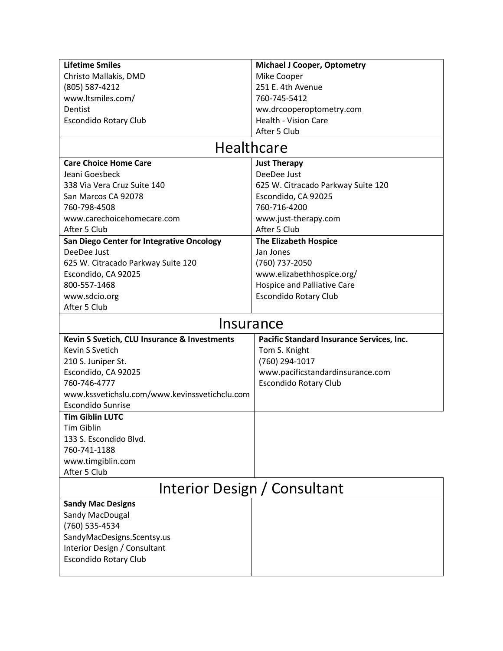| <b>Lifetime Smiles</b>                        | <b>Michael J Cooper, Optometry</b>        |
|-----------------------------------------------|-------------------------------------------|
| Christo Mallakis, DMD                         | Mike Cooper                               |
| (805) 587-4212                                | 251 E. 4th Avenue                         |
| www.ltsmiles.com/                             | 760-745-5412                              |
| Dentist                                       | ww.drcooperoptometry.com                  |
| <b>Escondido Rotary Club</b>                  | <b>Health - Vision Care</b>               |
|                                               | After 5 Club                              |
| <b>Healthcare</b>                             |                                           |
| <b>Care Choice Home Care</b>                  | <b>Just Therapy</b>                       |
| Jeani Goesbeck                                | DeeDee Just                               |
| 338 Via Vera Cruz Suite 140                   | 625 W. Citracado Parkway Suite 120        |
| San Marcos CA 92078                           | Escondido, CA 92025                       |
| 760-798-4508                                  | 760-716-4200                              |
| www.carechoicehomecare.com                    | www.just-therapy.com                      |
| After 5 Club                                  | After 5 Club                              |
| San Diego Center for Integrative Oncology     | <b>The Elizabeth Hospice</b>              |
| DeeDee Just                                   | Jan Jones                                 |
| 625 W. Citracado Parkway Suite 120            | (760) 737-2050                            |
| Escondido, CA 92025                           | www.elizabethhospice.org/                 |
| 800-557-1468                                  | <b>Hospice and Palliative Care</b>        |
| www.sdcio.org                                 | <b>Escondido Rotary Club</b>              |
| After 5 Club                                  |                                           |
| Insurance                                     |                                           |
|                                               |                                           |
| Kevin S Svetich, CLU Insurance & Investments  | Pacific Standard Insurance Services, Inc. |
| Kevin S Svetich                               | Tom S. Knight                             |
| 210 S. Juniper St.                            | (760) 294-1017                            |
| Escondido, CA 92025                           | www.pacificstandardinsurance.com          |
| 760-746-4777                                  | <b>Escondido Rotary Club</b>              |
| www.kssvetichslu.com/www.kevinssvetichclu.com |                                           |
| <b>Escondido Sunrise</b>                      |                                           |
| <b>Tim Giblin LUTC</b>                        |                                           |
| Tim Giblin                                    |                                           |
| 133 S. Escondido Blvd.                        |                                           |
| 760-741-1188                                  |                                           |
| www.timgiblin.com                             |                                           |
| After 5 Club                                  |                                           |
|                                               | Interior Design / Consultant              |
| <b>Sandy Mac Designs</b>                      |                                           |
| Sandy MacDougal                               |                                           |
| (760) 535-4534                                |                                           |
| SandyMacDesigns.Scentsy.us                    |                                           |
| Interior Design / Consultant                  |                                           |
| <b>Escondido Rotary Club</b>                  |                                           |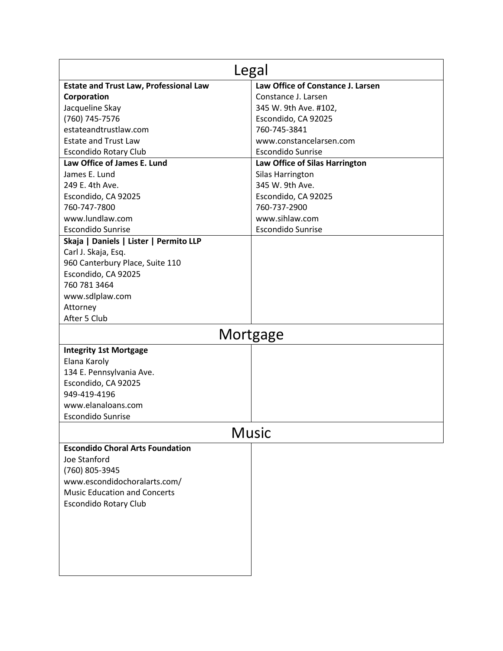| Legal                                         |                                   |
|-----------------------------------------------|-----------------------------------|
| <b>Estate and Trust Law, Professional Law</b> | Law Office of Constance J. Larsen |
| Corporation                                   | Constance J. Larsen               |
| Jacqueline Skay                               | 345 W. 9th Ave. #102,             |
| (760) 745-7576                                | Escondido, CA 92025               |
| estateandtrustlaw.com                         | 760-745-3841                      |
| <b>Estate and Trust Law</b>                   | www.constancelarsen.com           |
| <b>Escondido Rotary Club</b>                  | <b>Escondido Sunrise</b>          |
| Law Office of James E. Lund                   | Law Office of Silas Harrington    |
| James E. Lund                                 | Silas Harrington                  |
| 249 E. 4th Ave.                               | 345 W. 9th Ave.                   |
| Escondido, CA 92025                           | Escondido, CA 92025               |
| 760-747-7800                                  | 760-737-2900                      |
| www.lundlaw.com                               | www.sihlaw.com                    |
| <b>Escondido Sunrise</b>                      | <b>Escondido Sunrise</b>          |
| Skaja   Daniels   Lister   Permito LLP        |                                   |
| Carl J. Skaja, Esq.                           |                                   |
| 960 Canterbury Place, Suite 110               |                                   |
| Escondido, CA 92025                           |                                   |
| 760 781 3464                                  |                                   |
| www.sdlplaw.com                               |                                   |
| Attorney                                      |                                   |
| After 5 Club                                  |                                   |
|                                               | Mortgage                          |
| <b>Integrity 1st Mortgage</b>                 |                                   |
| Elana Karoly                                  |                                   |
| 134 E. Pennsylvania Ave.                      |                                   |
| Escondido, CA 92025                           |                                   |
| 949-419-4196                                  |                                   |
| www.elanaloans.com                            |                                   |
| <b>Escondido Sunrise</b>                      |                                   |
| <b>Music</b>                                  |                                   |
| <b>Escondido Choral Arts Foundation</b>       |                                   |
| Joe Stanford                                  |                                   |
| (760) 805-3945                                |                                   |
| www.escondidochoralarts.com/                  |                                   |
| <b>Music Education and Concerts</b>           |                                   |
| <b>Escondido Rotary Club</b>                  |                                   |
|                                               |                                   |
|                                               |                                   |
|                                               |                                   |
|                                               |                                   |
|                                               |                                   |
|                                               |                                   |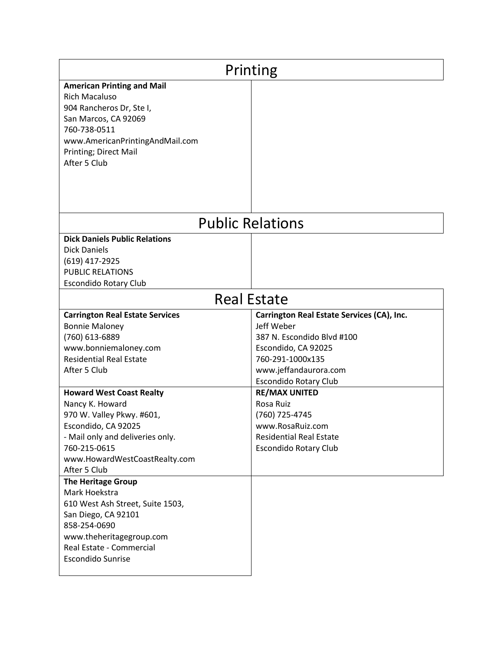| Printing                                                                                                                                                                                                  |                                                                                                                                                                                                                    |
|-----------------------------------------------------------------------------------------------------------------------------------------------------------------------------------------------------------|--------------------------------------------------------------------------------------------------------------------------------------------------------------------------------------------------------------------|
| <b>American Printing and Mail</b><br><b>Rich Macaluso</b><br>904 Rancheros Dr, Ste I,<br>San Marcos, CA 92069<br>760-738-0511<br>www.AmericanPrintingAndMail.com<br>Printing; Direct Mail<br>After 5 Club |                                                                                                                                                                                                                    |
|                                                                                                                                                                                                           | <b>Public Relations</b>                                                                                                                                                                                            |
| <b>Dick Daniels Public Relations</b><br><b>Dick Daniels</b><br>(619) 417-2925<br><b>PUBLIC RELATIONS</b><br><b>Escondido Rotary Club</b>                                                                  |                                                                                                                                                                                                                    |
|                                                                                                                                                                                                           | <b>Real Estate</b>                                                                                                                                                                                                 |
| <b>Carrington Real Estate Services</b><br><b>Bonnie Maloney</b><br>(760) 613-6889<br>www.bonniemaloney.com<br><b>Residential Real Estate</b><br>After 5 Club<br><b>Howard West Coast Realty</b>           | Carrington Real Estate Services (CA), Inc.<br>Jeff Weber<br>387 N. Escondido Blvd #100<br>Escondido, CA 92025<br>760-291-1000x135<br>www.jeffandaurora.com<br><b>Escondido Rotary Club</b><br><b>RE/MAX UNITED</b> |
| Nancy K. Howard<br>970 W. Valley Pkwy. #601,<br>Escondido, CA 92025<br>- Mail only and deliveries only.<br>760-215-0615<br>www.HowardWestCoastRealty.com<br>After 5 Club                                  | Rosa Ruiz<br>(760) 725-4745<br>www.RosaRuiz.com<br><b>Residential Real Estate</b><br><b>Escondido Rotary Club</b>                                                                                                  |
| <b>The Heritage Group</b><br>Mark Hoekstra<br>610 West Ash Street, Suite 1503,<br>San Diego, CA 92101<br>858-254-0690<br>www.theheritagegroup.com<br>Real Estate - Commercial<br><b>Escondido Sunrise</b> |                                                                                                                                                                                                                    |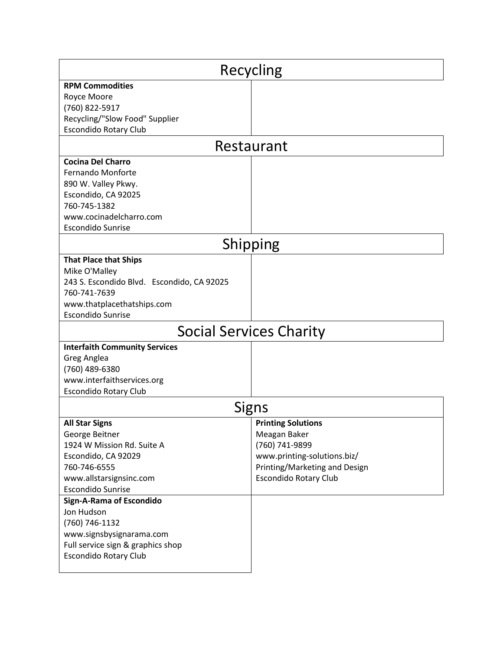| <b>RPM Commodities</b><br>Royce Moore<br>(760) 822-5917<br>Recycling/"Slow Food" Supplier<br><b>Escondido Rotary Club</b><br>Restaurant<br><b>Cocina Del Charro</b><br>Fernando Monforte<br>890 W. Valley Pkwy.<br>Escondido, CA 92025<br>760-745-1382<br>www.cocinadelcharro.com<br><b>Escondido Sunrise</b><br>Shipping<br><b>That Place that Ships</b><br>Mike O'Malley<br>243 S. Escondido Blvd. Escondido, CA 92025<br>760-741-7639<br>www.thatplacethatships.com<br><b>Escondido Sunrise</b><br><b>Social Services Charity</b><br><b>Interfaith Community Services</b><br>Greg Anglea<br>(760) 489-6380<br>www.interfaithservices.org<br><b>Escondido Rotary Club</b><br><b>Signs</b><br><b>All Star Signs</b><br><b>Printing Solutions</b><br>George Beitner<br>Meagan Baker<br>1924 W Mission Rd. Suite A<br>(760) 741-9899<br>Escondido, CA 92029<br>www.printing-solutions.biz/<br>Printing/Marketing and Design<br>760-746-6555<br><b>Escondido Rotary Club</b><br>www.allstarsignsinc.com | Recycling                |  |
|-------------------------------------------------------------------------------------------------------------------------------------------------------------------------------------------------------------------------------------------------------------------------------------------------------------------------------------------------------------------------------------------------------------------------------------------------------------------------------------------------------------------------------------------------------------------------------------------------------------------------------------------------------------------------------------------------------------------------------------------------------------------------------------------------------------------------------------------------------------------------------------------------------------------------------------------------------------------------------------------------------|--------------------------|--|
|                                                                                                                                                                                                                                                                                                                                                                                                                                                                                                                                                                                                                                                                                                                                                                                                                                                                                                                                                                                                       |                          |  |
|                                                                                                                                                                                                                                                                                                                                                                                                                                                                                                                                                                                                                                                                                                                                                                                                                                                                                                                                                                                                       |                          |  |
|                                                                                                                                                                                                                                                                                                                                                                                                                                                                                                                                                                                                                                                                                                                                                                                                                                                                                                                                                                                                       |                          |  |
|                                                                                                                                                                                                                                                                                                                                                                                                                                                                                                                                                                                                                                                                                                                                                                                                                                                                                                                                                                                                       |                          |  |
|                                                                                                                                                                                                                                                                                                                                                                                                                                                                                                                                                                                                                                                                                                                                                                                                                                                                                                                                                                                                       |                          |  |
|                                                                                                                                                                                                                                                                                                                                                                                                                                                                                                                                                                                                                                                                                                                                                                                                                                                                                                                                                                                                       |                          |  |
|                                                                                                                                                                                                                                                                                                                                                                                                                                                                                                                                                                                                                                                                                                                                                                                                                                                                                                                                                                                                       |                          |  |
|                                                                                                                                                                                                                                                                                                                                                                                                                                                                                                                                                                                                                                                                                                                                                                                                                                                                                                                                                                                                       |                          |  |
|                                                                                                                                                                                                                                                                                                                                                                                                                                                                                                                                                                                                                                                                                                                                                                                                                                                                                                                                                                                                       |                          |  |
|                                                                                                                                                                                                                                                                                                                                                                                                                                                                                                                                                                                                                                                                                                                                                                                                                                                                                                                                                                                                       |                          |  |
|                                                                                                                                                                                                                                                                                                                                                                                                                                                                                                                                                                                                                                                                                                                                                                                                                                                                                                                                                                                                       |                          |  |
|                                                                                                                                                                                                                                                                                                                                                                                                                                                                                                                                                                                                                                                                                                                                                                                                                                                                                                                                                                                                       |                          |  |
|                                                                                                                                                                                                                                                                                                                                                                                                                                                                                                                                                                                                                                                                                                                                                                                                                                                                                                                                                                                                       |                          |  |
|                                                                                                                                                                                                                                                                                                                                                                                                                                                                                                                                                                                                                                                                                                                                                                                                                                                                                                                                                                                                       |                          |  |
|                                                                                                                                                                                                                                                                                                                                                                                                                                                                                                                                                                                                                                                                                                                                                                                                                                                                                                                                                                                                       |                          |  |
|                                                                                                                                                                                                                                                                                                                                                                                                                                                                                                                                                                                                                                                                                                                                                                                                                                                                                                                                                                                                       |                          |  |
|                                                                                                                                                                                                                                                                                                                                                                                                                                                                                                                                                                                                                                                                                                                                                                                                                                                                                                                                                                                                       |                          |  |
|                                                                                                                                                                                                                                                                                                                                                                                                                                                                                                                                                                                                                                                                                                                                                                                                                                                                                                                                                                                                       |                          |  |
|                                                                                                                                                                                                                                                                                                                                                                                                                                                                                                                                                                                                                                                                                                                                                                                                                                                                                                                                                                                                       |                          |  |
|                                                                                                                                                                                                                                                                                                                                                                                                                                                                                                                                                                                                                                                                                                                                                                                                                                                                                                                                                                                                       |                          |  |
|                                                                                                                                                                                                                                                                                                                                                                                                                                                                                                                                                                                                                                                                                                                                                                                                                                                                                                                                                                                                       |                          |  |
|                                                                                                                                                                                                                                                                                                                                                                                                                                                                                                                                                                                                                                                                                                                                                                                                                                                                                                                                                                                                       |                          |  |
|                                                                                                                                                                                                                                                                                                                                                                                                                                                                                                                                                                                                                                                                                                                                                                                                                                                                                                                                                                                                       |                          |  |
|                                                                                                                                                                                                                                                                                                                                                                                                                                                                                                                                                                                                                                                                                                                                                                                                                                                                                                                                                                                                       |                          |  |
|                                                                                                                                                                                                                                                                                                                                                                                                                                                                                                                                                                                                                                                                                                                                                                                                                                                                                                                                                                                                       |                          |  |
|                                                                                                                                                                                                                                                                                                                                                                                                                                                                                                                                                                                                                                                                                                                                                                                                                                                                                                                                                                                                       |                          |  |
|                                                                                                                                                                                                                                                                                                                                                                                                                                                                                                                                                                                                                                                                                                                                                                                                                                                                                                                                                                                                       |                          |  |
|                                                                                                                                                                                                                                                                                                                                                                                                                                                                                                                                                                                                                                                                                                                                                                                                                                                                                                                                                                                                       |                          |  |
|                                                                                                                                                                                                                                                                                                                                                                                                                                                                                                                                                                                                                                                                                                                                                                                                                                                                                                                                                                                                       |                          |  |
|                                                                                                                                                                                                                                                                                                                                                                                                                                                                                                                                                                                                                                                                                                                                                                                                                                                                                                                                                                                                       |                          |  |
|                                                                                                                                                                                                                                                                                                                                                                                                                                                                                                                                                                                                                                                                                                                                                                                                                                                                                                                                                                                                       |                          |  |
|                                                                                                                                                                                                                                                                                                                                                                                                                                                                                                                                                                                                                                                                                                                                                                                                                                                                                                                                                                                                       |                          |  |
|                                                                                                                                                                                                                                                                                                                                                                                                                                                                                                                                                                                                                                                                                                                                                                                                                                                                                                                                                                                                       |                          |  |
|                                                                                                                                                                                                                                                                                                                                                                                                                                                                                                                                                                                                                                                                                                                                                                                                                                                                                                                                                                                                       | <b>Escondido Sunrise</b> |  |
| <b>Sign-A-Rama of Escondido</b>                                                                                                                                                                                                                                                                                                                                                                                                                                                                                                                                                                                                                                                                                                                                                                                                                                                                                                                                                                       |                          |  |
| Jon Hudson                                                                                                                                                                                                                                                                                                                                                                                                                                                                                                                                                                                                                                                                                                                                                                                                                                                                                                                                                                                            |                          |  |
| (760) 746-1132                                                                                                                                                                                                                                                                                                                                                                                                                                                                                                                                                                                                                                                                                                                                                                                                                                                                                                                                                                                        |                          |  |
| www.signsbysignarama.com                                                                                                                                                                                                                                                                                                                                                                                                                                                                                                                                                                                                                                                                                                                                                                                                                                                                                                                                                                              |                          |  |
| Full service sign & graphics shop                                                                                                                                                                                                                                                                                                                                                                                                                                                                                                                                                                                                                                                                                                                                                                                                                                                                                                                                                                     |                          |  |
| <b>Escondido Rotary Club</b>                                                                                                                                                                                                                                                                                                                                                                                                                                                                                                                                                                                                                                                                                                                                                                                                                                                                                                                                                                          |                          |  |